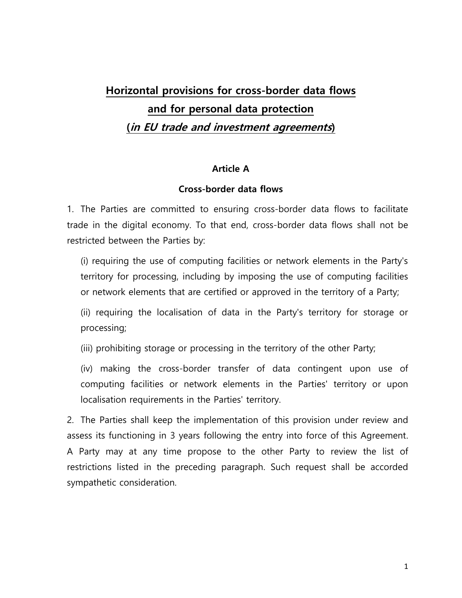# **Horizontal provisions for cross-border data flows and for personal data protection (in EU trade and investment agreements)**

#### **Article A**

### **Cross-border data flows**

1. The Parties are committed to ensuring cross-border data flows to facilitate trade in the digital economy. To that end, cross-border data flows shall not be restricted between the Parties by:

(i) requiring the use of computing facilities or network elements in the Party's territory for processing, including by imposing the use of computing facilities or network elements that are certified or approved in the territory of a Party;

(ii) requiring the localisation of data in the Party's territory for storage or processing;

(iii) prohibiting storage or processing in the territory of the other Party;

(iv) making the cross-border transfer of data contingent upon use of computing facilities or network elements in the Parties' territory or upon localisation requirements in the Parties' territory.

2. The Parties shall keep the implementation of this provision under review and assess its functioning in 3 years following the entry into force of this Agreement. A Party may at any time propose to the other Party to review the list of restrictions listed in the preceding paragraph. Such request shall be accorded sympathetic consideration.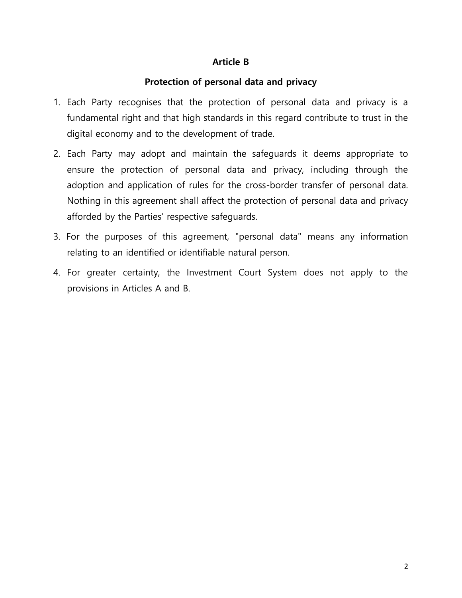## **Article B**

## **Protection of personal data and privacy**

- 1. Each Party recognises that the protection of personal data and privacy is a fundamental right and that high standards in this regard contribute to trust in the digital economy and to the development of trade.
- 2. Each Party may adopt and maintain the safeguards it deems appropriate to ensure the protection of personal data and privacy, including through the adoption and application of rules for the cross-border transfer of personal data. Nothing in this agreement shall affect the protection of personal data and privacy afforded by the Parties' respective safeguards.
- 3. For the purposes of this agreement, "personal data" means any information relating to an identified or identifiable natural person.
- 4. For greater certainty, the Investment Court System does not apply to the provisions in Articles A and B.